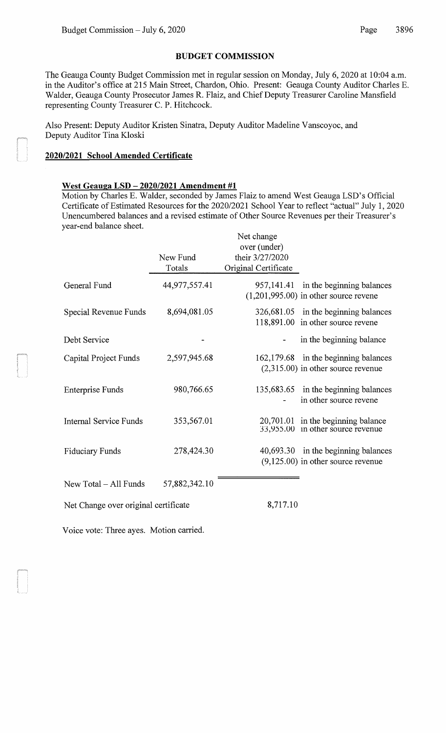## **BUDGET COMMISSION**

The Geauga County Budget Commission met in regular session on Monday, July 6, 2020 at 10:04 a.m. in the Auditor's office at 215 Main Street, Chardon, Ohio. Present: Geauga County Auditor Charles E. Walder, Geauga County Prosecutor James R. Flaiz, and Chief Deputy Treasurer Caroline Mansfield representing County Treasurer C. P. Hitchcock.

Also Present: Deputy Auditor Kristen Sinatra, Deputy Auditor Madeline Vanscoyoc, and Deputy Auditor Tina Kloski

## **2020/2021 School Amended Certificate**

## **West Geauga LSD- 2020/2021 Amendment #1**

Motion by Charles E. Walder, seconded by James Flaiz to amend West Geauga LSD's Official Certificate of Estimated Resources for the 2020/2021 School Year to reflect "actual" July 1, 2020 Unencumbered balances and a revised estimate of Other Source Revenues per their Treasurer's year-end balance sheet.  $N_{\text{tot}}$  ch

|                                      | New Fund<br>Totals | Net change<br>over (under)<br>their 3/27/2020<br>Original Certificate |                                                                                 |
|--------------------------------------|--------------------|-----------------------------------------------------------------------|---------------------------------------------------------------------------------|
| General Fund                         | 44,977,557.41      |                                                                       | 957,141.41 in the beginning balances<br>$(1,201,995.00)$ in other source revene |
| Special Revenue Funds                | 8,694,081.05       |                                                                       | 326,681.05 in the beginning balances<br>118,891.00 in other source revene       |
| Debt Service                         |                    |                                                                       | in the beginning balance                                                        |
| Capital Project Funds                | 2,597,945.68       |                                                                       | 162,179.68 in the beginning balances<br>$(2,315.00)$ in other source revenue    |
| <b>Enterprise Funds</b>              | 980,766.65         |                                                                       | 135,683.65 in the beginning balances<br>in other source revene                  |
| <b>Internal Service Funds</b>        | 353,567.01         |                                                                       | $20,701.01$ in the beginning balance<br>33,955.00 in other source revenue       |
| <b>Fiduciary Funds</b>               | 278,424.30         |                                                                       | 40,693.30 in the beginning balances<br>$(9,125.00)$ in other source revenue     |
| New Total – All Funds                | 57,882,342.10      |                                                                       |                                                                                 |
| Net Change over original certificate |                    | 8,717.10                                                              |                                                                                 |

Voice vote: Three ayes. Motion carried.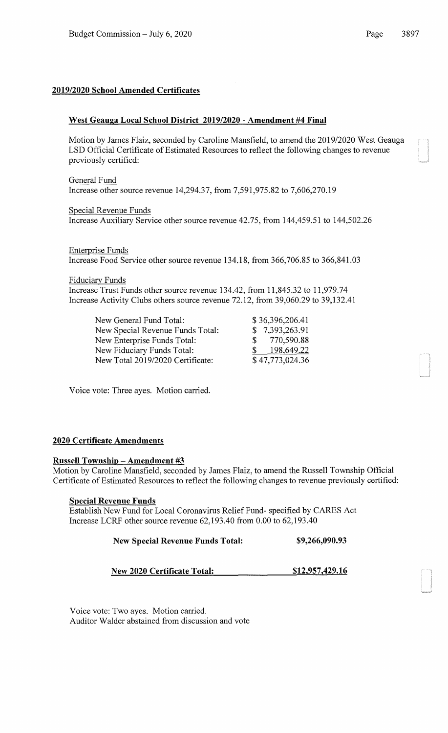## **2019/2020 School Amended Certificates**

## **West Geauga Local School District 2019/2020- Amendment #4 Final**

Motion by James Flaiz, seconded by Caroline Mansfield, to amend the 2019/2020 West Geauga LSD Official Certificate of Estimated Resources to reflect the following changes to revenue previously certified:

General Fund Increase other source revenue 14,294.37, from 7,591,975.82 to 7,606,270.19

Special Revenue Funds Increase Auxiliary Service other source revenue 42.75, from 144,459.51 to 144,502.26

Enterprise Funds Increase Food Service other source revenue 134.18, from 366,706.85 to 366,841.03

Fiduciary Funds

Increase Trust Funds other source revenue 134.42, from 11,845.32 to 11,979.74 Increase Activity Clubs others source revenue 72.12, from 39,060.29 to 39,132.41

New General Fund Total: New Special Revenue Funds Total: New Enterprise Funds Total: New Fiduciary Funds Total: New Total 2019/2020 Certificate:

\$ 36,396,206.41 \$ 7,393,263.91 \$ 770,590.88 \$ 198,649.22 \$ 47,773,024.36

Voice vote: Three ayes. Motion carried.

#### **2020 Certificate Amendments**

#### **Russell Township- Amendment #3**

Motion by Caroline Mansfield, seconded by James Flaiz, to amend the Russell Township Official Certificate of Estimated Resources to reflect the following changes to revenue previously certified:

#### **Special Revenue Funds**

Establish New Fund for Local Coronavirus Relief Fund- specified by CARES Act Increase LCRF other source revenue 62,193.40 from 0.00 to 62,193.40

#### **New Special Revenue Funds Total: \$9,266,090.93**

**New 2020 Certificate Total: \$12,957,429.16** 

Voice vote: Two ayes. Motion carried. Auditor Walder abstained from discussion and vote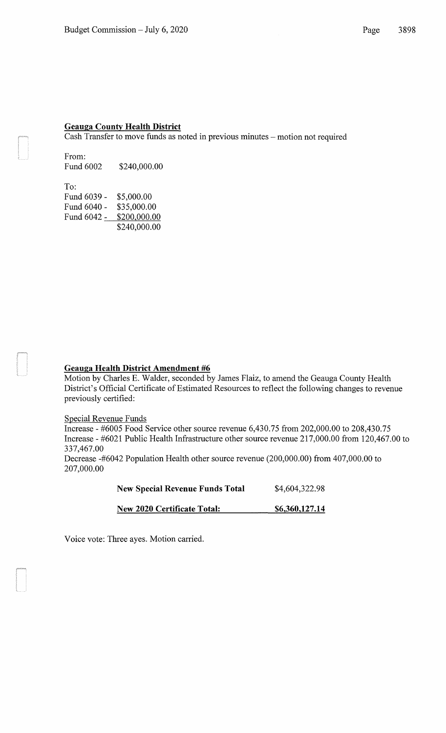#### **Geauga County Health District**

Cash Transfer to move funds as noted in previous minutes- motion not required

From: Fund 6002 \$240,000.00

To: Fund 6039- Fund 6040- \$35,000.00 Fund 6042 <u>- \$200,000.00</u> \$5,000.00 \$240,000.00

#### **Geauga Health District Amendment #6**

Motion by Charles E. Walder, seconded by James Flaiz, to amend the Geauga County Health District's Official Certificate of Estimated Resources to reflect the following changes to revenue previously certified:

#### Special Revenue Funds

Increase- #6005 Food Service other source revenue 6,430.75 from 202,000.00 to 208,430.75 Increase- #6021 Public Health Infrastructure other source revenue 217,000.00 from 120,467.00 to 337,467.00

Decrease -#6042 Population Health other source revenue (200,000.00) from 407,000.00 to 207,000.00

| <b>New Special Revenue Funds Total</b> | \$4,604,322.98 |
|----------------------------------------|----------------|
| <b>New 2020 Certificate Total:</b>     | \$6,360,127.14 |

Voice vote: Three ayes. Motion carried.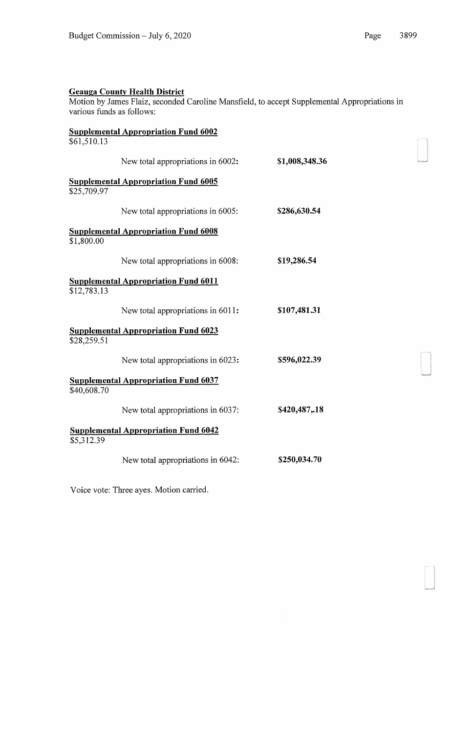Motion by James Flaiz, seconded Caroline Mansfield, to accept Supplemental Appropriations in various funds as follows:

|             | <b>Supplemental Appropriation Fund 6002</b> |                |
|-------------|---------------------------------------------|----------------|
| \$61,510.13 |                                             |                |
|             | New total appropriations in 6002:           | \$1,008,348.36 |
|             | <b>Supplemental Appropriation Fund 6005</b> |                |
| \$25,709.97 |                                             |                |
|             | New total appropriations in 6005:           | \$286,630.54   |
|             | <u>Supplemental Appropriation Fund 6008</u> |                |
| \$1,800.00  |                                             |                |
|             | New total appropriations in 6008:           | \$19,286.54    |
|             | <b>Supplemental Appropriation Fund 6011</b> |                |
| \$12,783.13 |                                             |                |
|             | New total appropriations in 6011:           | \$107,481.31   |
|             | <b>Supplemental Appropriation Fund 6023</b> |                |
| \$28,259.51 |                                             |                |
|             | New total appropriations in 6023:           | \$596,022.39   |
|             | <b>Supplemental Appropriation Fund 6037</b> |                |
| \$40,608.70 |                                             |                |
|             | New total appropriations in 6037:           | \$420,487,.18  |
|             | <b>Supplemental Appropriation Fund 6042</b> |                |
| \$5,312.39  |                                             |                |
|             | New total appropriations in 6042:           | \$250,034.70   |
|             |                                             |                |

Voice vote: Three ayes. Motion carried.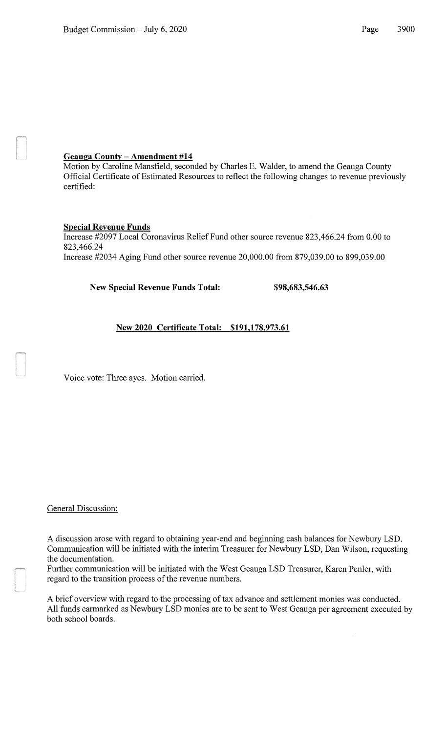## **Geauga County- Amendment #14**

Motion by Caroline Mansfield, seconded by Charles E. Walder, to amend the Geauga County Official Certificate of Estimated Resources to reflect the following changes to revenue previously certified:

## **Special Revenue Funds**

Increase #2097 Local Coronavirus Relief Fund other source revenue 823,466.24 from 0.00 to 823,466.24 Increase #2034 Aging Fund other source revenue 20,000.00 from 879,039.00 to 899,039.00

**New Special Revenue Funds Total: \$98,683,546.63** 

# **New 2020 Certificate Total: \$191,178,973.61**

Voice vote: Three ayes. Motion carried.

General Discussion:

A discussion arose with regard to obtaining year-end and beginning cash balances for Newbury LSD. Communication will be initiated with the interim Treasurer for Newbury LSD, Dan Wilson, requesting the documentation.

Further communication will be initiated with the West Geauga LSD Treasurer, Karen Penler, with regard to the transition process of the revenue numbers.

A brief overview with regard to the processing of tax advance and settlement monies was conducted. All funds earmarked as Newbury LSD monies are to be sent to West Geauga per agreement executed by both school boards.